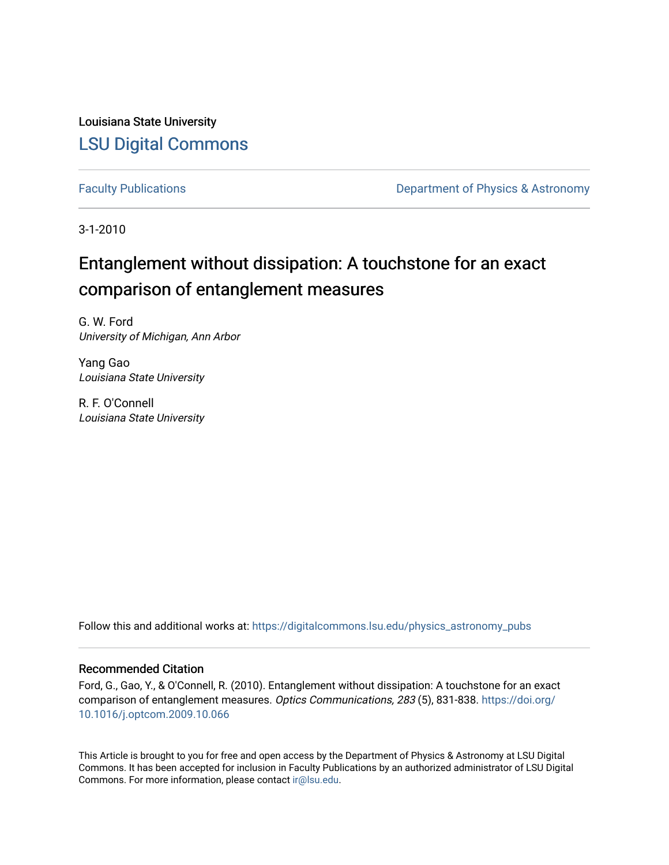Louisiana State University [LSU Digital Commons](https://digitalcommons.lsu.edu/)

[Faculty Publications](https://digitalcommons.lsu.edu/physics_astronomy_pubs) **Exercise 2 and Table 2 and Table 2 and Table 2 and Table 2 and Table 2 and Table 2 and Table 2 and Table 2 and Table 2 and Table 2 and Table 2 and Table 2 and Table 2 and Table 2 and Table 2 and Table** 

3-1-2010

# Entanglement without dissipation: A touchstone for an exact comparison of entanglement measures

G. W. Ford University of Michigan, Ann Arbor

Yang Gao Louisiana State University

R. F. O'Connell Louisiana State University

Follow this and additional works at: [https://digitalcommons.lsu.edu/physics\\_astronomy\\_pubs](https://digitalcommons.lsu.edu/physics_astronomy_pubs?utm_source=digitalcommons.lsu.edu%2Fphysics_astronomy_pubs%2F3872&utm_medium=PDF&utm_campaign=PDFCoverPages) 

### Recommended Citation

Ford, G., Gao, Y., & O'Connell, R. (2010). Entanglement without dissipation: A touchstone for an exact comparison of entanglement measures. Optics Communications, 283 (5), 831-838. [https://doi.org/](https://doi.org/10.1016/j.optcom.2009.10.066) [10.1016/j.optcom.2009.10.066](https://doi.org/10.1016/j.optcom.2009.10.066)

This Article is brought to you for free and open access by the Department of Physics & Astronomy at LSU Digital Commons. It has been accepted for inclusion in Faculty Publications by an authorized administrator of LSU Digital Commons. For more information, please contact [ir@lsu.edu](mailto:ir@lsu.edu).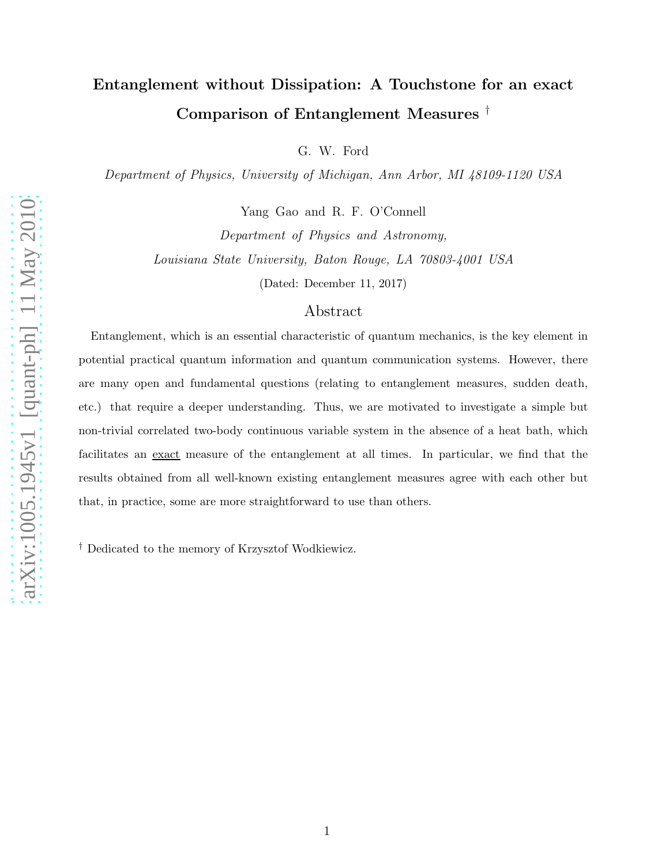# Entanglement without Dissipation: A Touchstone for an exact Comparison of Entanglement Measures †

G. W. Ford

Department of Physics, University of Michigan, Ann Arbor, MI 48109-1120 USA

Yang Gao and R. F. O'Connell

Department of Physics and Astronomy, Louisiana State University, Baton Rouge, LA 70803-4001 USA

(Dated: December 11, 2017)

# Abstract

Entanglement, which is an essential characteristic of quantum mechanics, is the key element in potential practical quantum information and quantum communication systems. However, there are many open and fundamental questions (relating to entanglement measures, sudden death, etc.) that require a deeper understanding. Thus, we are motivated to investigate a simple but non-trivial correlated two-body continuous variable system in the absence of a heat bath, which facilitates an exact measure of the entanglement at all times. In particular, we find that the results obtained from all well-known existing entanglement measures agree with each other but that, in practice, some are more straightforward to use than others.

† Dedicated to the memory of Krzysztof Wodkiewicz.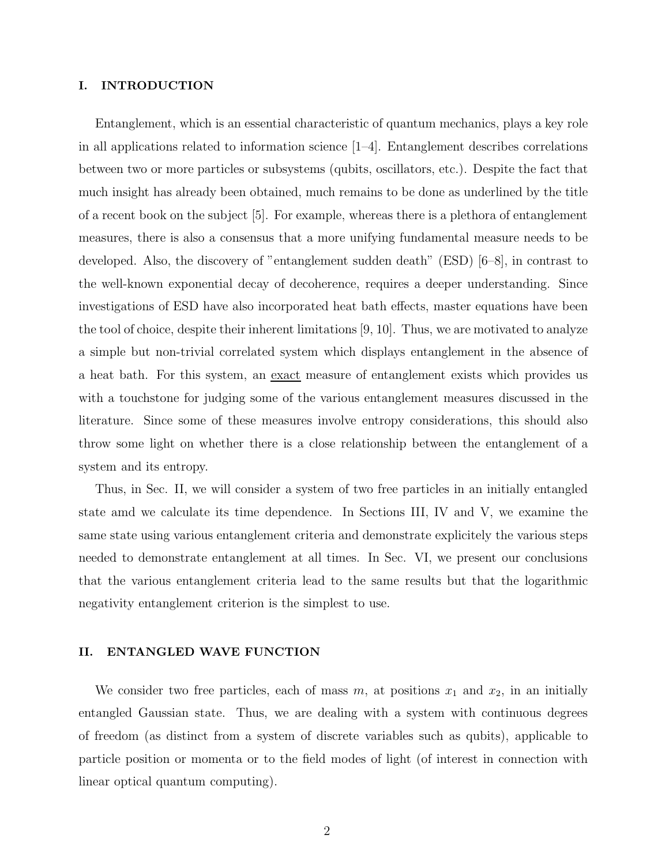#### I. INTRODUCTION

Entanglement, which is an essential characteristic of quantum mechanics, plays a key role in all applications related to information science [1–4]. Entanglement describes correlations between two or more particles or subsystems (qubits, oscillators, etc.). Despite the fact that much insight has already been obtained, much remains to be done as underlined by the title of a recent book on the subject [5]. For example, whereas there is a plethora of entanglement measures, there is also a consensus that a more unifying fundamental measure needs to be developed. Also, the discovery of "entanglement sudden death" (ESD) [6–8], in contrast to the well-known exponential decay of decoherence, requires a deeper understanding. Since investigations of ESD have also incorporated heat bath effects, master equations have been the tool of choice, despite their inherent limitations [9, 10]. Thus, we are motivated to analyze a simple but non-trivial correlated system which displays entanglement in the absence of a heat bath. For this system, an exact measure of entanglement exists which provides us with a touchstone for judging some of the various entanglement measures discussed in the literature. Since some of these measures involve entropy considerations, this should also throw some light on whether there is a close relationship between the entanglement of a system and its entropy.

Thus, in Sec. II, we will consider a system of two free particles in an initially entangled state amd we calculate its time dependence. In Sections III, IV and V, we examine the same state using various entanglement criteria and demonstrate explicitely the various steps needed to demonstrate entanglement at all times. In Sec. VI, we present our conclusions that the various entanglement criteria lead to the same results but that the logarithmic negativity entanglement criterion is the simplest to use.

#### II. ENTANGLED WAVE FUNCTION

We consider two free particles, each of mass  $m$ , at positions  $x_1$  and  $x_2$ , in an initially entangled Gaussian state. Thus, we are dealing with a system with continuous degrees of freedom (as distinct from a system of discrete variables such as qubits), applicable to particle position or momenta or to the field modes of light (of interest in connection with linear optical quantum computing).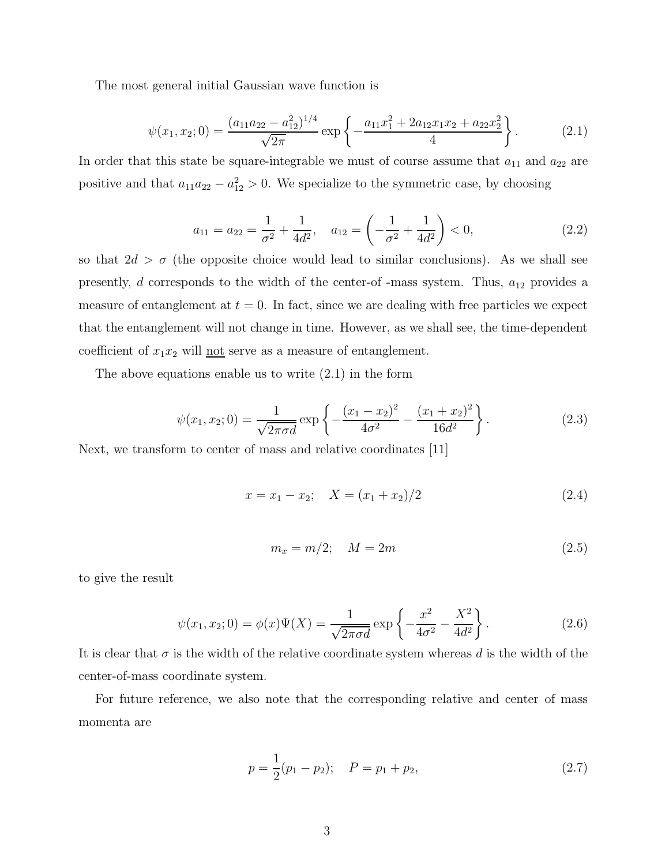The most general initial Gaussian wave function is

$$
\psi(x_1, x_2; 0) = \frac{(a_{11}a_{22} - a_{12}^2)^{1/4}}{\sqrt{2\pi}} \exp\left\{-\frac{a_{11}x_1^2 + 2a_{12}x_1x_2 + a_{22}x_2^2}{4}\right\}.
$$
 (2.1)

In order that this state be square-integrable we must of course assume that  $a_{11}$  and  $a_{22}$  are positive and that  $a_{11}a_{22} - a_{12}^2 > 0$ . We specialize to the symmetric case, by choosing

$$
a_{11} = a_{22} = \frac{1}{\sigma^2} + \frac{1}{4d^2}, \quad a_{12} = \left(-\frac{1}{\sigma^2} + \frac{1}{4d^2}\right) < 0,\tag{2.2}
$$

so that  $2d > \sigma$  (the opposite choice would lead to similar conclusions). As we shall see presently,  $d$  corresponds to the width of the center-of -mass system. Thus,  $a_{12}$  provides a measure of entanglement at  $t = 0$ . In fact, since we are dealing with free particles we expect that the entanglement will not change in time. However, as we shall see, the time-dependent coefficient of  $x_1x_2$  will <u>not</u> serve as a measure of entanglement.

The above equations enable us to write (2.1) in the form

$$
\psi(x_1, x_2; 0) = \frac{1}{\sqrt{2\pi\sigma d}} \exp\left\{-\frac{(x_1 - x_2)^2}{4\sigma^2} - \frac{(x_1 + x_2)^2}{16d^2}\right\}.
$$
\n(2.3)

Next, we transform to center of mass and relative coordinates [11]

$$
x = x_1 - x_2; \quad X = (x_1 + x_2)/2 \tag{2.4}
$$

$$
m_x = m/2; \quad M = 2m \tag{2.5}
$$

to give the result

$$
\psi(x_1, x_2; 0) = \phi(x)\Psi(X) = \frac{1}{\sqrt{2\pi\sigma d}} \exp\left\{-\frac{x^2}{4\sigma^2} - \frac{X^2}{4d^2}\right\}.
$$
\n(2.6)

It is clear that  $\sigma$  is the width of the relative coordinate system whereas d is the width of the center-of-mass coordinate system.

For future reference, we also note that the corresponding relative and center of mass momenta are

$$
p = \frac{1}{2}(p_1 - p_2); \quad P = p_1 + p_2,
$$
\n(2.7)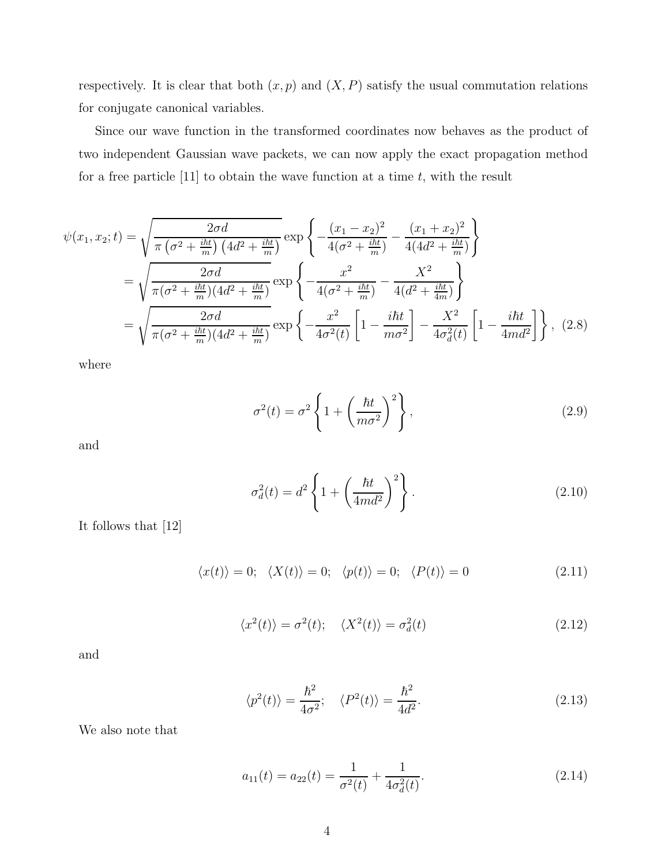respectively. It is clear that both  $(x, p)$  and  $(X, P)$  satisfy the usual commutation relations for conjugate canonical variables.

Since our wave function in the transformed coordinates now behaves as the product of two independent Gaussian wave packets, we can now apply the exact propagation method for a free particle  $[11]$  to obtain the wave function at a time t, with the result

$$
\psi(x_1, x_2; t) = \sqrt{\frac{2\sigma d}{\pi \left(\sigma^2 + \frac{i\hbar t}{m}\right) \left(4d^2 + \frac{i\hbar t}{m}\right)}} \exp\left\{-\frac{(x_1 - x_2)^2}{4(\sigma^2 + \frac{i\hbar t}{m})} - \frac{(x_1 + x_2)^2}{4(4d^2 + \frac{i\hbar t}{m})}\right\}
$$

$$
= \sqrt{\frac{2\sigma d}{\pi (\sigma^2 + \frac{i\hbar t}{m}) \left(4d^2 + \frac{i\hbar t}{m}\right)}} \exp\left\{-\frac{x^2}{4(\sigma^2 + \frac{i\hbar t}{m})} - \frac{X^2}{4(d^2 + \frac{i\hbar t}{4m})}\right\}
$$

$$
= \sqrt{\frac{2\sigma d}{\pi (\sigma^2 + \frac{i\hbar t}{m}) \left(4d^2 + \frac{i\hbar t}{m}\right)}} \exp\left\{-\frac{x^2}{4\sigma^2(t)} \left[1 - \frac{i\hbar t}{m\sigma^2}\right] - \frac{X^2}{4\sigma_d^2(t)} \left[1 - \frac{i\hbar t}{4md^2}\right]\right\}, \tag{2.8}
$$

where

$$
\sigma^{2}(t) = \sigma^{2} \left\{ 1 + \left(\frac{\hbar t}{m\sigma^{2}}\right)^{2} \right\},
$$
\n(2.9)

and

$$
\sigma_d^2(t) = d^2 \left\{ 1 + \left(\frac{\hbar t}{4md^2}\right)^2 \right\}.
$$
\n(2.10)

It follows that [12]

$$
\langle x(t) \rangle = 0; \quad \langle X(t) \rangle = 0; \quad \langle p(t) \rangle = 0; \quad \langle P(t) \rangle = 0 \tag{2.11}
$$

$$
\langle x^2(t) \rangle = \sigma^2(t); \quad \langle X^2(t) \rangle = \sigma_d^2(t) \tag{2.12}
$$

and

$$
\langle p^2(t) \rangle = \frac{\hbar^2}{4\sigma^2}; \quad \langle P^2(t) \rangle = \frac{\hbar^2}{4d^2}.
$$
 (2.13)

We also note that

$$
a_{11}(t) = a_{22}(t) = \frac{1}{\sigma^2(t)} + \frac{1}{4\sigma_d^2(t)}.
$$
\n(2.14)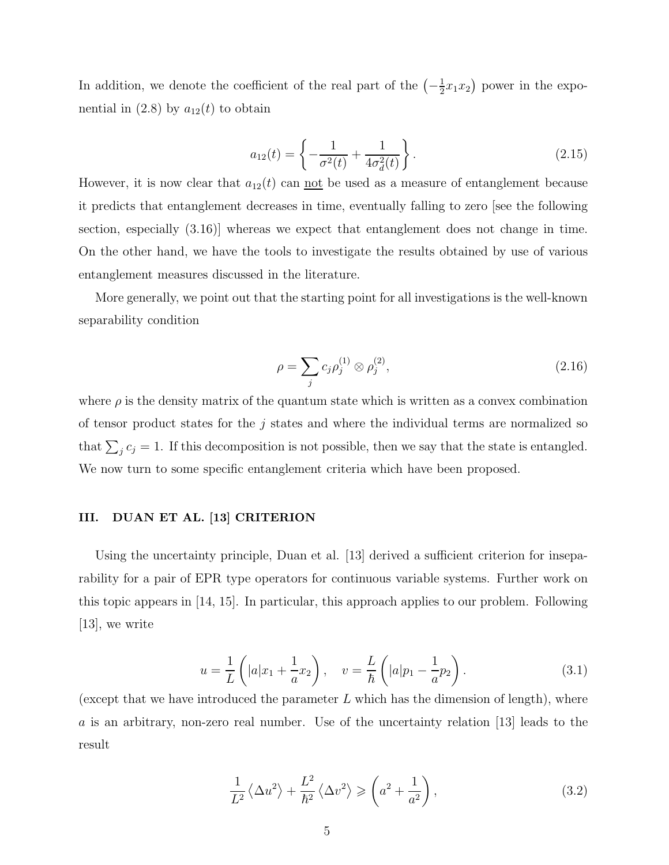In addition, we denote the coefficient of the real part of the  $\left(-\frac{1}{2}\right)$  $(\frac{1}{2}x_1x_2)$  power in the exponential in (2.8) by  $a_{12}(t)$  to obtain

$$
a_{12}(t) = \left\{ -\frac{1}{\sigma^2(t)} + \frac{1}{4\sigma_d^2(t)} \right\}.
$$
 (2.15)

However, it is now clear that  $a_{12}(t)$  can <u>not</u> be used as a measure of entanglement because it predicts that entanglement decreases in time, eventually falling to zero [see the following section, especially (3.16)] whereas we expect that entanglement does not change in time. On the other hand, we have the tools to investigate the results obtained by use of various entanglement measures discussed in the literature.

More generally, we point out that the starting point for all investigations is the well-known separability condition

$$
\rho = \sum_{j} c_j \rho_j^{(1)} \otimes \rho_j^{(2)},\tag{2.16}
$$

where  $\rho$  is the density matrix of the quantum state which is written as a convex combination of tensor product states for the  $j$  states and where the individual terms are normalized so that  $\sum_j c_j = 1$ . If this decomposition is not possible, then we say that the state is entangled. We now turn to some specific entanglement criteria which have been proposed.

#### III. DUAN ET AL. [13] CRITERION

Using the uncertainty principle, Duan et al. [13] derived a sufficient criterion for inseparability for a pair of EPR type operators for continuous variable systems. Further work on this topic appears in [14, 15]. In particular, this approach applies to our problem. Following [13], we write

$$
u = \frac{1}{L} \left( |a| x_1 + \frac{1}{a} x_2 \right), \quad v = \frac{L}{\hbar} \left( |a| p_1 - \frac{1}{a} p_2 \right).
$$
 (3.1)

(except that we have introduced the parameter  $L$  which has the dimension of length), where a is an arbitrary, non-zero real number. Use of the uncertainty relation [13] leads to the result

$$
\frac{1}{L^2} \langle \Delta u^2 \rangle + \frac{L^2}{\hbar^2} \langle \Delta v^2 \rangle \geqslant \left( a^2 + \frac{1}{a^2} \right),\tag{3.2}
$$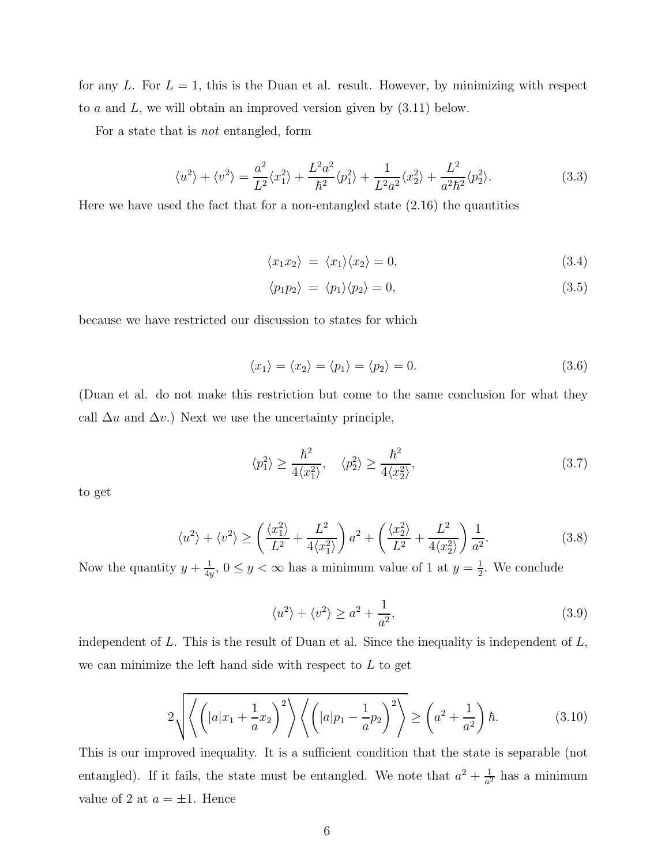for any L. For  $L = 1$ , this is the Duan et al. result. However, by minimizing with respect to  $a$  and  $L$ , we will obtain an improved version given by  $(3.11)$  below.

For a state that is not entangled, form

$$
\langle u^2 \rangle + \langle v^2 \rangle = \frac{a^2}{L^2} \langle x_1^2 \rangle + \frac{L^2 a^2}{\hbar^2} \langle p_1^2 \rangle + \frac{1}{L^2 a^2} \langle x_2^2 \rangle + \frac{L^2}{a^2 \hbar^2} \langle p_2^2 \rangle.
$$
 (3.3)

Here we have used the fact that for a non-entangled state (2.16) the quantities

$$
\langle x_1 x_2 \rangle = \langle x_1 \rangle \langle x_2 \rangle = 0, \tag{3.4}
$$

$$
\langle p_1 p_2 \rangle = \langle p_1 \rangle \langle p_2 \rangle = 0, \tag{3.5}
$$

because we have restricted our discussion to states for which

$$
\langle x_1 \rangle = \langle x_2 \rangle = \langle p_1 \rangle = \langle p_2 \rangle = 0. \tag{3.6}
$$

(Duan et al. do not make this restriction but come to the same conclusion for what they call  $\Delta u$  and  $\Delta v$ .) Next we use the uncertainty principle,

$$
\langle p_1^2 \rangle \ge \frac{\hbar^2}{4\langle x_1^2 \rangle}, \quad \langle p_2^2 \rangle \ge \frac{\hbar^2}{4\langle x_2^2 \rangle}, \tag{3.7}
$$

to get

$$
\langle u^2 \rangle + \langle v^2 \rangle \ge \left(\frac{\langle x_1^2 \rangle}{L^2} + \frac{L^2}{4\langle x_1^2 \rangle}\right) a^2 + \left(\frac{\langle x_2^2 \rangle}{L^2} + \frac{L^2}{4\langle x_2^2 \rangle}\right) \frac{1}{a^2}.\tag{3.8}
$$

Now the quantity  $y + \frac{1}{4y}$  $\frac{1}{4y}$ ,  $0 \le y < \infty$  has a minimum value of 1 at  $y = \frac{1}{2}$  $\frac{1}{2}$ . We conclude

$$
\langle u^2 \rangle + \langle v^2 \rangle \ge a^2 + \frac{1}{a^2},\tag{3.9}
$$

independent of  $L$ . This is the result of Duan et al. Since the inequality is independent of  $L$ , we can minimize the left hand side with respect to  $L$  to get

$$
2\sqrt{\left\langle \left(|a|x_1 + \frac{1}{a}x_2\right)^2 \right\rangle \left\langle \left(|a|p_1 - \frac{1}{a}p_2\right)^2 \right\rangle} \ge \left(a^2 + \frac{1}{a^2}\right)\hbar. \tag{3.10}
$$

This is our improved inequality. It is a sufficient condition that the state is separable (not entangled). If it fails, the state must be entangled. We note that  $a^2 + \frac{1}{a^2}$  $\frac{1}{a^2}$  has a minimum value of 2 at  $a = \pm 1$ . Hence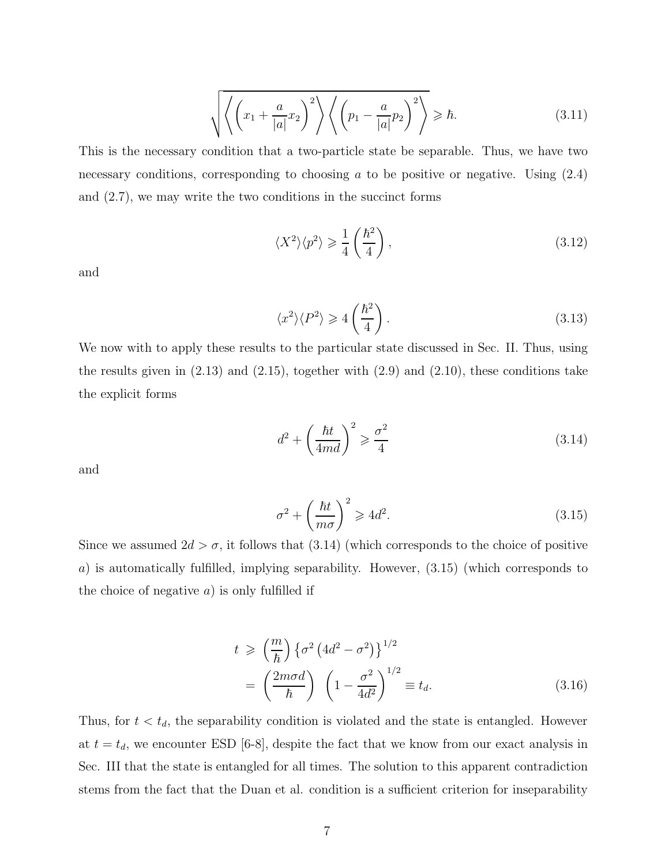$$
\sqrt{\left\langle \left(x_1 + \frac{a}{|a|}x_2\right)^2 \right\rangle \left\langle \left(p_1 - \frac{a}{|a|}p_2\right)^2 \right\rangle} \geq \hbar. \tag{3.11}
$$

This is the necessary condition that a two-particle state be separable. Thus, we have two necessary conditions, corresponding to choosing  $a$  to be positive or negative. Using  $(2.4)$ and (2.7), we may write the two conditions in the succinct forms

$$
\langle X^2 \rangle \langle p^2 \rangle \geq \frac{1}{4} \left( \frac{\hbar^2}{4} \right),\tag{3.12}
$$

and

$$
\langle x^2 \rangle \langle P^2 \rangle \geqslant 4 \left( \frac{\hbar^2}{4} \right). \tag{3.13}
$$

We now with to apply these results to the particular state discussed in Sec. II. Thus, using the results given in  $(2.13)$  and  $(2.15)$ , together with  $(2.9)$  and  $(2.10)$ , these conditions take the explicit forms

$$
d^2 + \left(\frac{\hbar t}{4md}\right)^2 \geqslant \frac{\sigma^2}{4}
$$
\n(3.14)

and

$$
\sigma^2 + \left(\frac{\hbar t}{m\sigma}\right)^2 \geqslant 4d^2. \tag{3.15}
$$

Since we assumed  $2d > \sigma$ , it follows that  $(3.14)$  (which corresponds to the choice of positive a) is automatically fulfilled, implying separability. However, (3.15) (which corresponds to the choice of negative  $a$ ) is only fulfilled if

$$
t \geq \left(\frac{m}{\hbar}\right) \left\{\sigma^2 \left(4d^2 - \sigma^2\right)\right\}^{1/2}
$$

$$
= \left(\frac{2m\sigma d}{\hbar}\right) \left(1 - \frac{\sigma^2}{4d^2}\right)^{1/2} \equiv t_d.
$$
 (3.16)

Thus, for  $t < t_d$ , the separability condition is violated and the state is entangled. However at  $t = t_d$ , we encounter ESD [6-8], despite the fact that we know from our exact analysis in Sec. III that the state is entangled for all times. The solution to this apparent contradiction stems from the fact that the Duan et al. condition is a sufficient criterion for inseparability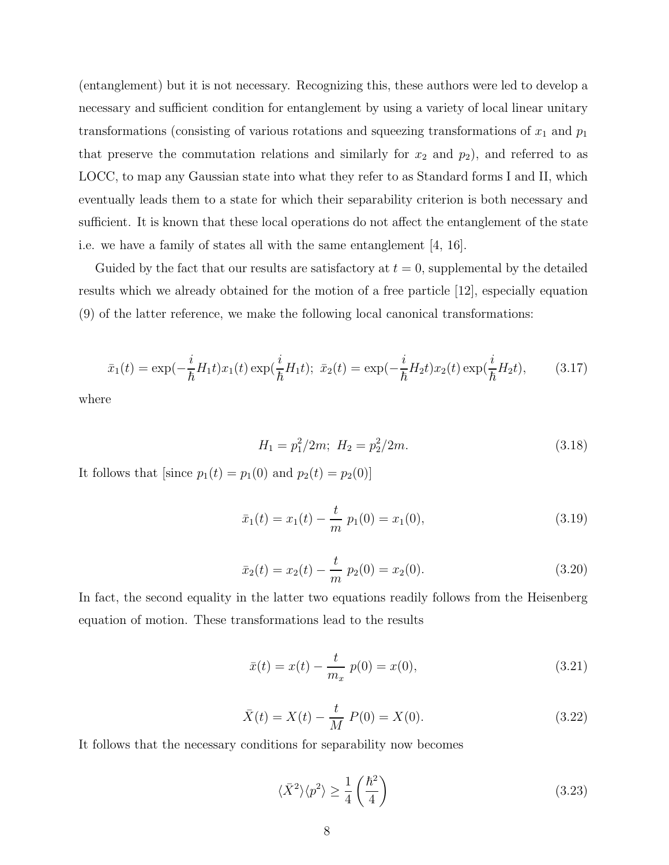(entanglement) but it is not necessary. Recognizing this, these authors were led to develop a necessary and sufficient condition for entanglement by using a variety of local linear unitary transformations (consisting of various rotations and squeezing transformations of  $x_1$  and  $p_1$ that preserve the commutation relations and similarly for  $x_2$  and  $p_2$ ), and referred to as LOCC, to map any Gaussian state into what they refer to as Standard forms I and II, which eventually leads them to a state for which their separability criterion is both necessary and sufficient. It is known that these local operations do not affect the entanglement of the state i.e. we have a family of states all with the same entanglement [4, 16].

Guided by the fact that our results are satisfactory at  $t = 0$ , supplemental by the detailed results which we already obtained for the motion of a free particle [12], especially equation (9) of the latter reference, we make the following local canonical transformations:

$$
\bar{x}_1(t) = \exp(-\frac{i}{\hbar}H_1t)x_1(t)\exp(\frac{i}{\hbar}H_1t); \ \ \bar{x}_2(t) = \exp(-\frac{i}{\hbar}H_2t)x_2(t)\exp(\frac{i}{\hbar}H_2t), \tag{3.17}
$$

where

$$
H_1 = p_1^2 / 2m; \ H_2 = p_2^2 / 2m. \tag{3.18}
$$

It follows that [since  $p_1(t) = p_1(0)$  and  $p_2(t) = p_2(0)$ ]

$$
\bar{x}_1(t) = x_1(t) - \frac{t}{m} p_1(0) = x_1(0), \qquad (3.19)
$$

$$
\bar{x}_2(t) = x_2(t) - \frac{t}{m} p_2(0) = x_2(0). \tag{3.20}
$$

In fact, the second equality in the latter two equations readily follows from the Heisenberg equation of motion. These transformations lead to the results

$$
\bar{x}(t) = x(t) - \frac{t}{m_x} \, p(0) = x(0),\tag{3.21}
$$

$$
\bar{X}(t) = X(t) - \frac{t}{M} P(0) = X(0).
$$
\n(3.22)

It follows that the necessary conditions for separability now becomes

$$
\langle \bar{X}^2 \rangle \langle p^2 \rangle \ge \frac{1}{4} \left( \frac{\hbar^2}{4} \right) \tag{3.23}
$$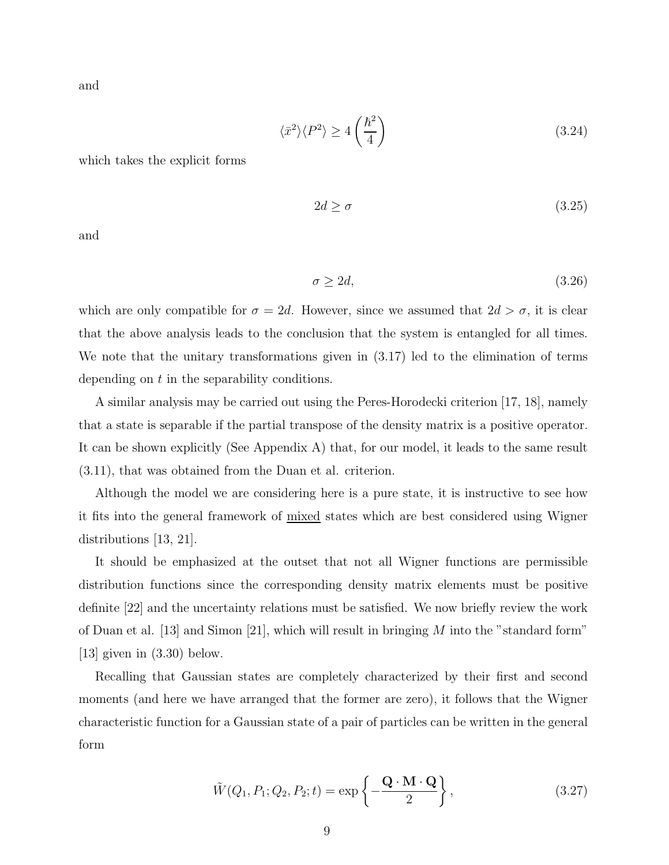and

$$
\langle \bar{x}^2 \rangle \langle P^2 \rangle \ge 4 \left( \frac{\hbar^2}{4} \right) \tag{3.24}
$$

which takes the explicit forms

$$
2d \ge \sigma \tag{3.25}
$$

and

$$
\sigma \ge 2d,\tag{3.26}
$$

which are only compatible for  $\sigma = 2d$ . However, since we assumed that  $2d > \sigma$ , it is clear that the above analysis leads to the conclusion that the system is entangled for all times. We note that the unitary transformations given in (3.17) led to the elimination of terms depending on t in the separability conditions.

A similar analysis may be carried out using the Peres-Horodecki criterion [17, 18], namely that a state is separable if the partial transpose of the density matrix is a positive operator. It can be shown explicitly (See Appendix A) that, for our model, it leads to the same result (3.11), that was obtained from the Duan et al. criterion.

Although the model we are considering here is a pure state, it is instructive to see how it fits into the general framework of mixed states which are best considered using Wigner distributions [13, 21].

It should be emphasized at the outset that not all Wigner functions are permissible distribution functions since the corresponding density matrix elements must be positive definite [22] and the uncertainty relations must be satisfied. We now briefly review the work of Duan et al. [13] and Simon [21], which will result in bringing  $M$  into the "standard form" [13] given in (3.30) below.

Recalling that Gaussian states are completely characterized by their first and second moments (and here we have arranged that the former are zero), it follows that the Wigner characteristic function for a Gaussian state of a pair of particles can be written in the general form

$$
\tilde{W}(Q_1, P_1; Q_2, P_2; t) = \exp\left\{-\frac{\mathbf{Q} \cdot \mathbf{M} \cdot \mathbf{Q}}{2}\right\},\tag{3.27}
$$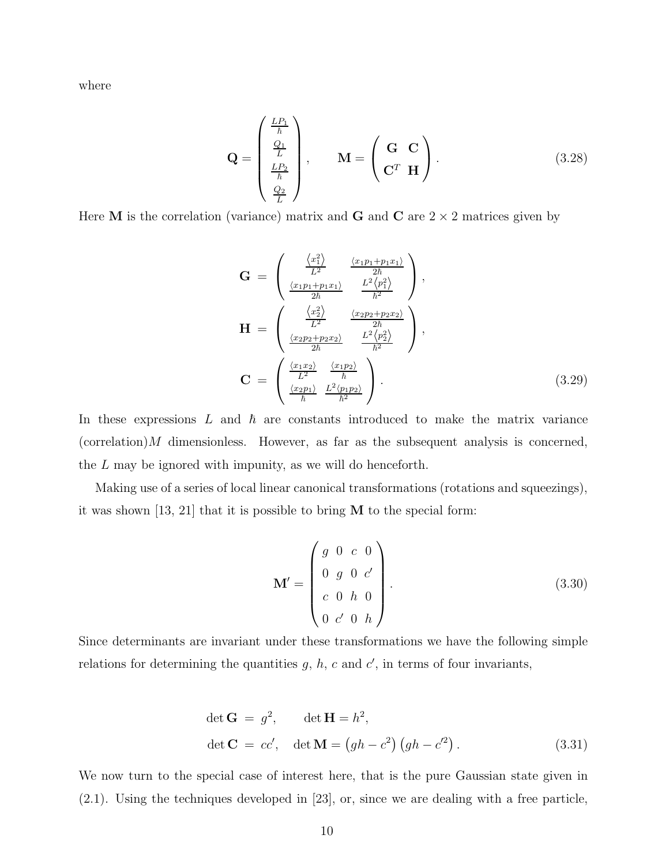where

$$
\mathbf{Q} = \begin{pmatrix} \frac{LP_1}{\hbar} \\ \frac{Q_1}{L} \\ \frac{LP_2}{\hbar} \end{pmatrix}, \qquad \mathbf{M} = \begin{pmatrix} \mathbf{G} & \mathbf{C} \\ \mathbf{C}^T & \mathbf{H} \end{pmatrix}.
$$
 (3.28)

Here **M** is the correlation (variance) matrix and **G** and **C** are  $2 \times 2$  matrices given by

$$
\mathbf{G} = \begin{pmatrix} \frac{\langle x_1^2 \rangle}{L^2} & \frac{\langle x_1 p_1 + p_1 x_1 \rangle}{2\hbar} \\ \frac{\langle x_1 p_1 + p_1 x_1 \rangle}{2\hbar} & \frac{L^2 \langle p_1^2 \rangle}{\hbar^2} \end{pmatrix},
$$

$$
\mathbf{H} = \begin{pmatrix} \frac{\langle x_2^2 \rangle}{L^2} & \frac{\langle x_2 p_2 + p_2 x_2 \rangle}{2\hbar} \\ \frac{\langle x_2 p_2 + p_2 x_2 \rangle}{2\hbar} & \frac{L^2 \langle p_2^2 \rangle}{\hbar^2} \end{pmatrix},
$$

$$
\mathbf{C} = \begin{pmatrix} \frac{\langle x_1 x_2 \rangle}{L^2} & \frac{\langle x_1 p_2 \rangle}{\hbar} \\ \frac{\langle x_2 p_1 \rangle}{\hbar} & \frac{L^2 \langle p_1 p_2 \rangle}{\hbar^2} \end{pmatrix}.
$$
(3.29)

In these expressions  $L$  and  $\hbar$  are constants introduced to make the matrix variance  $(correlation)M$  dimensionless. However, as far as the subsequent analysis is concerned, the L may be ignored with impunity, as we will do henceforth.

Making use of a series of local linear canonical transformations (rotations and squeezings), it was shown [13, 21] that it is possible to bring M to the special form:

$$
\mathbf{M}' = \begin{pmatrix} g & 0 & c & 0 \\ 0 & g & 0 & c' \\ c & 0 & h & 0 \\ 0 & c' & 0 & h \end{pmatrix} .
$$
 (3.30)

Since determinants are invariant under these transformations we have the following simple relations for determining the quantities  $g, h, c$  and  $c'$ , in terms of four invariants,

$$
\det \mathbf{G} = g^2, \qquad \det \mathbf{H} = h^2,
$$
  

$$
\det \mathbf{C} = cc', \quad \det \mathbf{M} = (gh - c^2) (gh - c^2).
$$
 (3.31)

We now turn to the special case of interest here, that is the pure Gaussian state given in (2.1). Using the techniques developed in [23], or, since we are dealing with a free particle,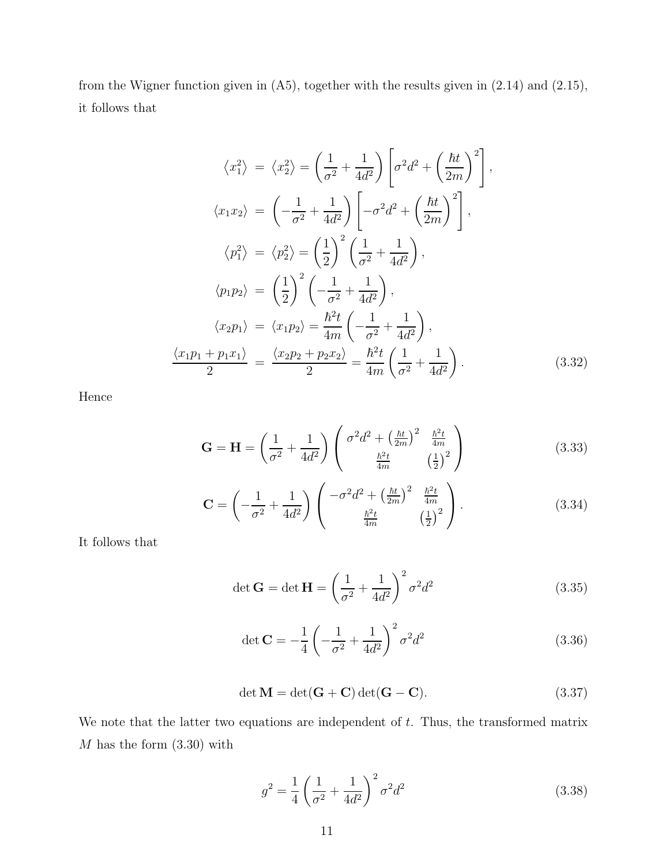from the Wigner function given in (A5), together with the results given in (2.14) and (2.15), it follows that

$$
\langle x_1^2 \rangle = \langle x_2^2 \rangle = \left(\frac{1}{\sigma^2} + \frac{1}{4d^2}\right) \left[\sigma^2 d^2 + \left(\frac{\hbar t}{2m}\right)^2\right],
$$
  
\n
$$
\langle x_1 x_2 \rangle = \left(-\frac{1}{\sigma^2} + \frac{1}{4d^2}\right) \left[-\sigma^2 d^2 + \left(\frac{\hbar t}{2m}\right)^2\right],
$$
  
\n
$$
\langle p_1^2 \rangle = \langle p_2^2 \rangle = \left(\frac{1}{2}\right)^2 \left(\frac{1}{\sigma^2} + \frac{1}{4d^2}\right),
$$
  
\n
$$
\langle p_1 p_2 \rangle = \left(\frac{1}{2}\right)^2 \left(-\frac{1}{\sigma^2} + \frac{1}{4d^2}\right),
$$
  
\n
$$
\langle x_2 p_1 \rangle = \langle x_1 p_2 \rangle = \frac{\hbar^2 t}{4m} \left(-\frac{1}{\sigma^2} + \frac{1}{4d^2}\right),
$$
  
\n
$$
\frac{\langle x_1 p_1 + p_1 x_1 \rangle}{2} = \frac{\langle x_2 p_2 + p_2 x_2 \rangle}{2} = \frac{\hbar^2 t}{4m} \left(\frac{1}{\sigma^2} + \frac{1}{4d^2}\right).
$$
  
\n(3.32)

Hence

$$
\mathbf{G} = \mathbf{H} = \left(\frac{1}{\sigma^2} + \frac{1}{4d^2}\right) \begin{pmatrix} \sigma^2 d^2 + \left(\frac{\hbar t}{2m}\right)^2 & \frac{\hbar^2 t}{4m} \\ \frac{\hbar^2 t}{4m} & \left(\frac{1}{2}\right)^2 \end{pmatrix}
$$
(3.33)

$$
\mathbf{C} = \left( -\frac{1}{\sigma^2} + \frac{1}{4d^2} \right) \begin{pmatrix} -\sigma^2 d^2 + \left( \frac{\hbar t}{2m} \right)^2 & \frac{\hbar^2 t}{4m} \\ \frac{\hbar^2 t}{4m} & \left( \frac{1}{2} \right)^2 \end{pmatrix} . \tag{3.34}
$$

It follows that

$$
\det \mathbf{G} = \det \mathbf{H} = \left(\frac{1}{\sigma^2} + \frac{1}{4d^2}\right)^2 \sigma^2 d^2 \tag{3.35}
$$

$$
\det \mathbf{C} = -\frac{1}{4} \left( -\frac{1}{\sigma^2} + \frac{1}{4d^2} \right)^2 \sigma^2 d^2 \tag{3.36}
$$

$$
\det \mathbf{M} = \det(\mathbf{G} + \mathbf{C}) \det(\mathbf{G} - \mathbf{C}).
$$
\n(3.37)

We note that the latter two equations are independent of  $t$ . Thus, the transformed matrix  $M$  has the form  $(3.30)$  with

$$
g^2 = \frac{1}{4} \left( \frac{1}{\sigma^2} + \frac{1}{4d^2} \right)^2 \sigma^2 d^2 \tag{3.38}
$$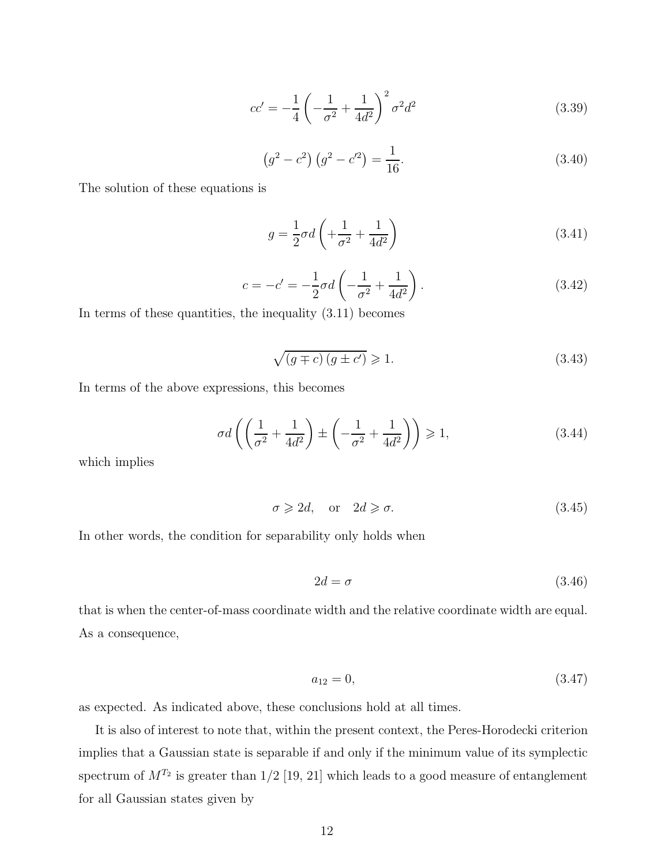$$
cc' = -\frac{1}{4} \left( -\frac{1}{\sigma^2} + \frac{1}{4d^2} \right)^2 \sigma^2 d^2 \tag{3.39}
$$

$$
(g2 - c2) (g2 - c'2) = \frac{1}{16}.
$$
 (3.40)

The solution of these equations is

$$
g = \frac{1}{2}\sigma d\left(+\frac{1}{\sigma^2} + \frac{1}{4d^2}\right) \tag{3.41}
$$

$$
c = -c' = -\frac{1}{2}\sigma d \left( -\frac{1}{\sigma^2} + \frac{1}{4d^2} \right). \tag{3.42}
$$

In terms of these quantities, the inequality (3.11) becomes

$$
\sqrt{(g \mp c)(g \pm c')} \geqslant 1. \tag{3.43}
$$

In terms of the above expressions, this becomes

$$
\sigma d\left(\left(\frac{1}{\sigma^2} + \frac{1}{4d^2}\right) \pm \left(-\frac{1}{\sigma^2} + \frac{1}{4d^2}\right)\right) \ge 1,\tag{3.44}
$$

which implies

$$
\sigma \geqslant 2d, \quad \text{or} \quad 2d \geqslant \sigma. \tag{3.45}
$$

In other words, the condition for separability only holds when

$$
2d = \sigma \tag{3.46}
$$

that is when the center-of-mass coordinate width and the relative coordinate width are equal. As a consequence,

$$
a_{12} = 0,\t\t(3.47)
$$

as expected. As indicated above, these conclusions hold at all times.

It is also of interest to note that, within the present context, the Peres-Horodecki criterion implies that a Gaussian state is separable if and only if the minimum value of its symplectic spectrum of  $M^{T_2}$  is greater than  $1/2$  [19, 21] which leads to a good measure of entanglement for all Gaussian states given by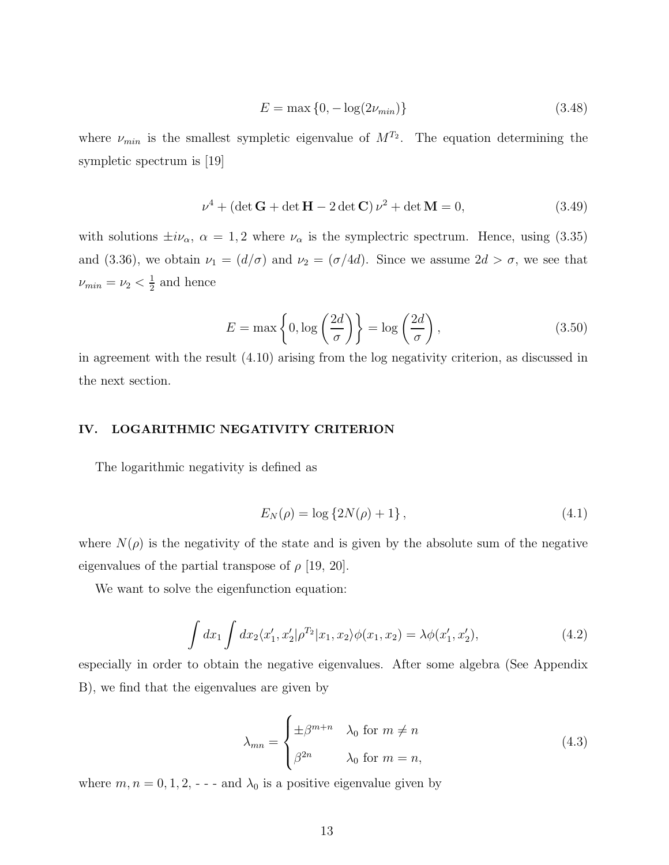$$
E = \max\{0, -\log(2\nu_{min})\}\
$$
\n(3.48)

where  $\nu_{min}$  is the smallest sympletic eigenvalue of  $M^{T_2}$ . The equation determining the sympletic spectrum is [19]

$$
\nu^4 + (\det \mathbf{G} + \det \mathbf{H} - 2 \det \mathbf{C}) \nu^2 + \det \mathbf{M} = 0,
$$
 (3.49)

with solutions  $\pm i\nu_{\alpha}$ ,  $\alpha = 1, 2$  where  $\nu_{\alpha}$  is the symplectric spectrum. Hence, using (3.35) and (3.36), we obtain  $\nu_1 = (d/\sigma)$  and  $\nu_2 = (\sigma/4d)$ . Since we assume  $2d > \sigma$ , we see that  $\nu_{min}=\nu_2<\frac{1}{2}$  $\frac{1}{2}$  and hence

$$
E = \max\left\{0, \log\left(\frac{2d}{\sigma}\right)\right\} = \log\left(\frac{2d}{\sigma}\right),\tag{3.50}
$$

in agreement with the result (4.10) arising from the log negativity criterion, as discussed in the next section.

#### IV. LOGARITHMIC NEGATIVITY CRITERION

The logarithmic negativity is defined as

$$
E_N(\rho) = \log \{ 2N(\rho) + 1 \}, \tag{4.1}
$$

where  $N(\rho)$  is the negativity of the state and is given by the absolute sum of the negative eigenvalues of the partial transpose of  $\rho$  [19, 20].

We want to solve the eigenfunction equation:

$$
\int dx_1 \int dx_2 \langle x'_1, x'_2 | \rho^{T_2} | x_1, x_2 \rangle \phi(x_1, x_2) = \lambda \phi(x'_1, x'_2), \tag{4.2}
$$

especially in order to obtain the negative eigenvalues. After some algebra (See Appendix B), we find that the eigenvalues are given by

$$
\lambda_{mn} = \begin{cases} \pm \beta^{m+n} & \lambda_0 \text{ for } m \neq n \\ \beta^{2n} & \lambda_0 \text{ for } m = n, \end{cases}
$$
 (4.3)

where  $m, n = 0, 1, 2, -$  - and  $\lambda_0$  is a positive eigenvalue given by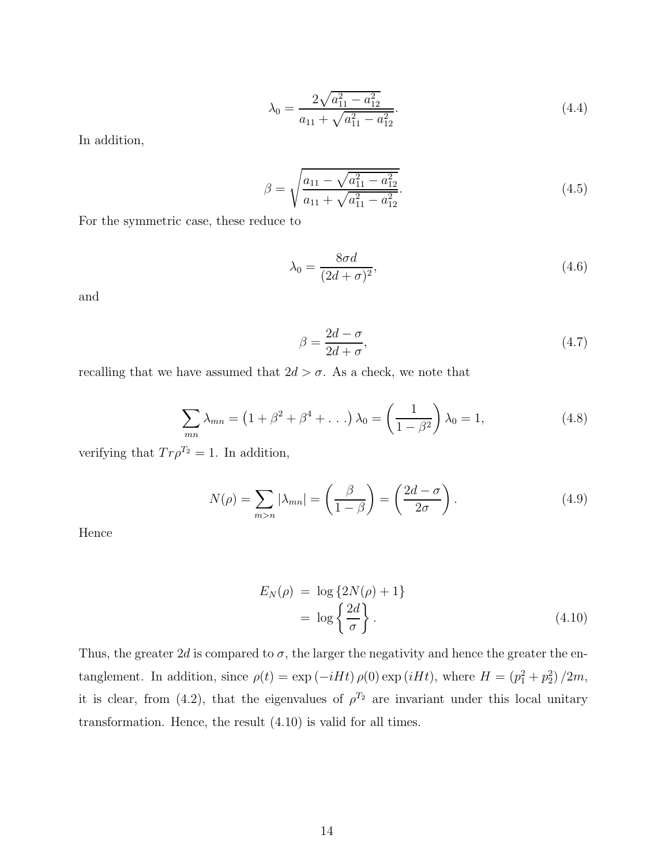$$
\lambda_0 = \frac{2\sqrt{a_{11}^2 - a_{12}^2}}{a_{11} + \sqrt{a_{11}^2 - a_{12}^2}}.\tag{4.4}
$$

In addition,

$$
\beta = \sqrt{\frac{a_{11} - \sqrt{a_{11}^2 - a_{12}^2}}{a_{11} + \sqrt{a_{11}^2 - a_{12}^2}}}.
$$
\n(4.5)

For the symmetric case, these reduce to

$$
\lambda_0 = \frac{8\sigma d}{(2d+\sigma)^2},\tag{4.6}
$$

and

$$
\beta = \frac{2d - \sigma}{2d + \sigma},\tag{4.7}
$$

recalling that we have assumed that  $2d > \sigma$ . As a check, we note that

$$
\sum_{mn} \lambda_{mn} = (1 + \beta^2 + \beta^4 + \dots) \lambda_0 = \left(\frac{1}{1 - \beta^2}\right) \lambda_0 = 1,
$$
 (4.8)

verifying that  $Tr \rho^{T_2} = 1$ . In addition,

$$
N(\rho) = \sum_{m>n} |\lambda_{mn}| = \left(\frac{\beta}{1-\beta}\right) = \left(\frac{2d-\sigma}{2\sigma}\right). \tag{4.9}
$$

Hence

$$
E_N(\rho) = \log \{2N(\rho) + 1\}
$$
  
=  $\log \left\{\frac{2d}{\sigma}\right\}.$  (4.10)

Thus, the greater  $2d$  is compared to  $\sigma$ , the larger the negativity and hence the greater the entanglement. In addition, since  $\rho(t) = \exp(-iHt)\rho(0) \exp(iHt)$ , where  $H = (p_1^2 + p_2^2)/2m$ , it is clear, from (4.2), that the eigenvalues of  $\rho^{T_2}$  are invariant under this local unitary transformation. Hence, the result (4.10) is valid for all times.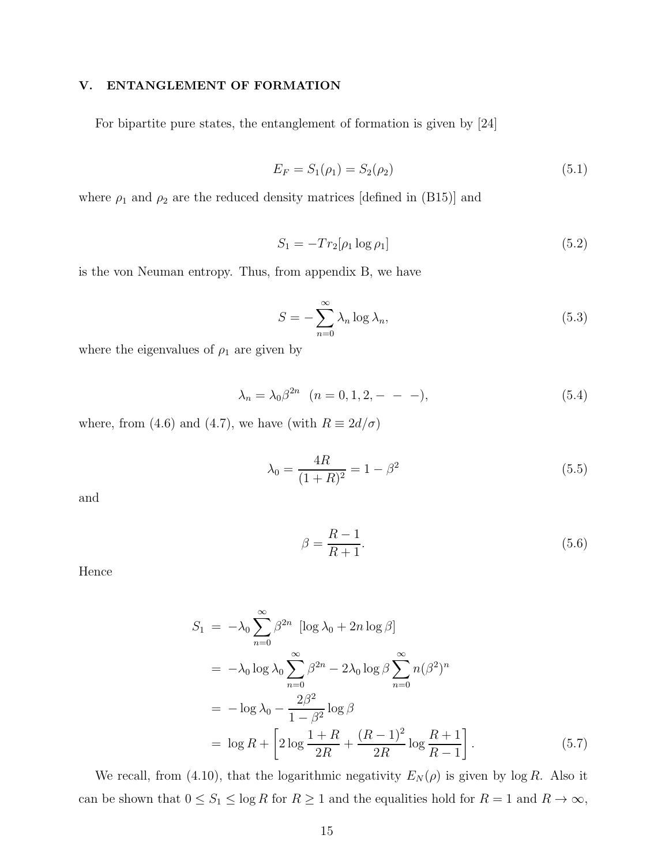# V. ENTANGLEMENT OF FORMATION

For bipartite pure states, the entanglement of formation is given by [24]

$$
E_F = S_1(\rho_1) = S_2(\rho_2) \tag{5.1}
$$

where  $\rho_1$  and  $\rho_2$  are the reduced density matrices [defined in (B15)] and

$$
S_1 = -Tr_2[\rho_1 \log \rho_1] \tag{5.2}
$$

is the von Neuman entropy. Thus, from appendix B, we have

$$
S = -\sum_{n=0}^{\infty} \lambda_n \log \lambda_n,
$$
\n(5.3)

where the eigenvalues of  $\rho_1$  are given by

$$
\lambda_n = \lambda_0 \beta^{2n} \quad (n = 0, 1, 2, - - -), \tag{5.4}
$$

where, from (4.6) and (4.7), we have (with  $R \equiv 2d/\sigma$ )

$$
\lambda_0 = \frac{4R}{(1+R)^2} = 1 - \beta^2 \tag{5.5}
$$

and

$$
\beta = \frac{R-1}{R+1}.\tag{5.6}
$$

Hence

$$
S_1 = -\lambda_0 \sum_{n=0}^{\infty} \beta^{2n} \left[ \log \lambda_0 + 2n \log \beta \right]
$$
  
=  $-\lambda_0 \log \lambda_0 \sum_{n=0}^{\infty} \beta^{2n} - 2\lambda_0 \log \beta \sum_{n=0}^{\infty} n(\beta^2)^n$   
=  $-\log \lambda_0 - \frac{2\beta^2}{1 - \beta^2} \log \beta$   
=  $\log R + \left[ 2 \log \frac{1+R}{2R} + \frac{(R-1)^2}{2R} \log \frac{R+1}{R-1} \right].$  (5.7)

We recall, from (4.10), that the logarithmic negativity  $E_N(\rho)$  is given by log R. Also it can be shown that  $0 \le S_1 \le \log R$  for  $R \ge 1$  and the equalities hold for  $R = 1$  and  $R \to \infty$ ,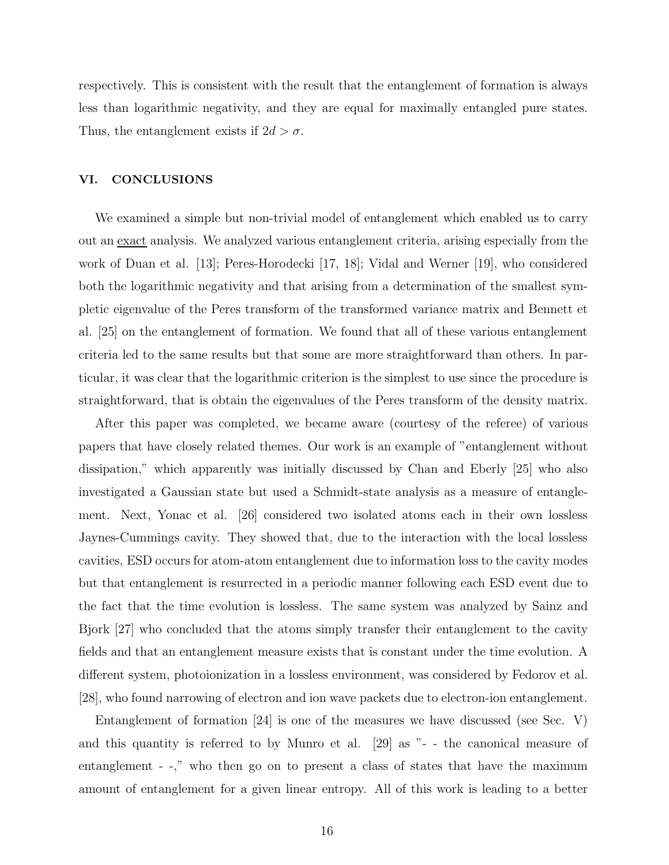respectively. This is consistent with the result that the entanglement of formation is always less than logarithmic negativity, and they are equal for maximally entangled pure states. Thus, the entanglement exists if  $2d > \sigma$ .

# VI. CONCLUSIONS

We examined a simple but non-trivial model of entanglement which enabled us to carry out an exact analysis. We analyzed various entanglement criteria, arising especially from the work of Duan et al. [13]; Peres-Horodecki [17, 18]; Vidal and Werner [19], who considered both the logarithmic negativity and that arising from a determination of the smallest sympletic eigenvalue of the Peres transform of the transformed variance matrix and Bennett et al. [25] on the entanglement of formation. We found that all of these various entanglement criteria led to the same results but that some are more straightforward than others. In particular, it was clear that the logarithmic criterion is the simplest to use since the procedure is straightforward, that is obtain the eigenvalues of the Peres transform of the density matrix.

After this paper was completed, we became aware (courtesy of the referee) of various papers that have closely related themes. Our work is an example of "entanglement without dissipation," which apparently was initially discussed by Chan and Eberly [25] who also investigated a Gaussian state but used a Schmidt-state analysis as a measure of entanglement. Next, Yonac et al. [26] considered two isolated atoms each in their own lossless Jaynes-Cummings cavity. They showed that, due to the interaction with the local lossless cavities, ESD occurs for atom-atom entanglement due to information loss to the cavity modes but that entanglement is resurrected in a periodic manner following each ESD event due to the fact that the time evolution is lossless. The same system was analyzed by Sainz and Bjork [27] who concluded that the atoms simply transfer their entanglement to the cavity fields and that an entanglement measure exists that is constant under the time evolution. A different system, photoionization in a lossless environment, was considered by Fedorov et al. [28], who found narrowing of electron and ion wave packets due to electron-ion entanglement.

Entanglement of formation [24] is one of the measures we have discussed (see Sec. V) and this quantity is referred to by Munro et al. [29] as "- - the canonical measure of entanglement - -," who then go on to present a class of states that have the maximum amount of entanglement for a given linear entropy. All of this work is leading to a better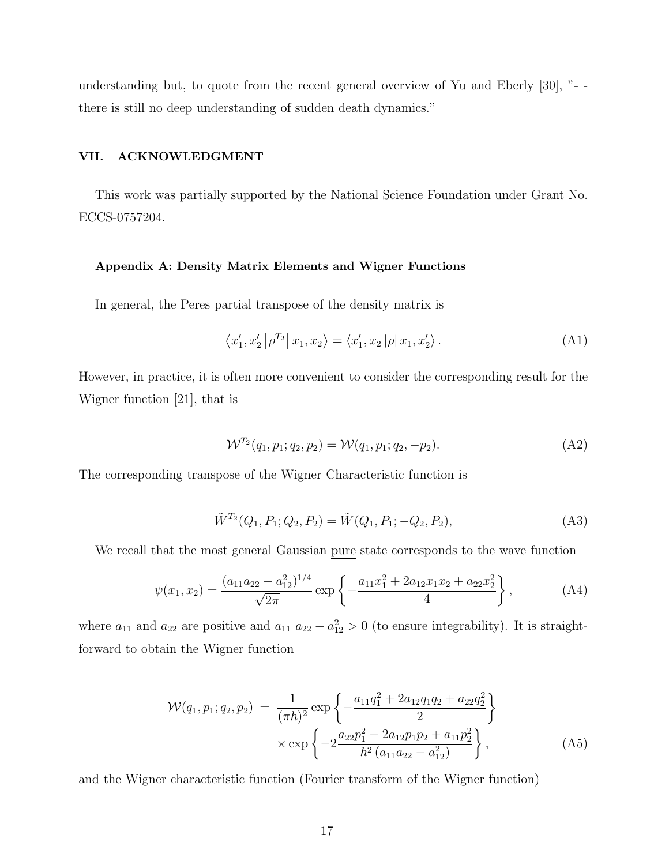understanding but, to quote from the recent general overview of Yu and Eberly [30], "- there is still no deep understanding of sudden death dynamics."

# VII. ACKNOWLEDGMENT

This work was partially supported by the National Science Foundation under Grant No. ECCS-0757204.

#### Appendix A: Density Matrix Elements and Wigner Functions

In general, the Peres partial transpose of the density matrix is

$$
\langle x_1', x_2' | \rho^{T_2} | x_1, x_2 \rangle = \langle x_1', x_2 | \rho | x_1, x_2' \rangle.
$$
 (A1)

However, in practice, it is often more convenient to consider the corresponding result for the Wigner function [21], that is

$$
\mathcal{W}^{T_2}(q_1, p_1; q_2, p_2) = \mathcal{W}(q_1, p_1; q_2, -p_2). \tag{A2}
$$

The corresponding transpose of the Wigner Characteristic function is

$$
\tilde{W}^{T_2}(Q_1, P_1; Q_2, P_2) = \tilde{W}(Q_1, P_1; -Q_2, P_2),\tag{A3}
$$

We recall that the most general Gaussian pure state corresponds to the wave function

$$
\psi(x_1, x_2) = \frac{(a_{11}a_{22} - a_{12}^2)^{1/4}}{\sqrt{2\pi}} \exp\left\{-\frac{a_{11}x_1^2 + 2a_{12}x_1x_2 + a_{22}x_2^2}{4}\right\},\tag{A4}
$$

where  $a_{11}$  and  $a_{22}$  are positive and  $a_{11}$   $a_{22} - a_{12}^2 > 0$  (to ensure integrability). It is straightforward to obtain the Wigner function

$$
\mathcal{W}(q_1, p_1; q_2, p_2) = \frac{1}{(\pi \hbar)^2} \exp \left\{ -\frac{a_{11}q_1^2 + 2a_{12}q_1q_2 + a_{22}q_2^2}{2} \right\}
$$

$$
\times \exp \left\{ -2\frac{a_{22}p_1^2 - 2a_{12}p_1p_2 + a_{11}p_2^2}{\hbar^2 \left( a_{11}a_{22} - a_{12}^2 \right)} \right\},
$$
(A5)

and the Wigner characteristic function (Fourier transform of the Wigner function)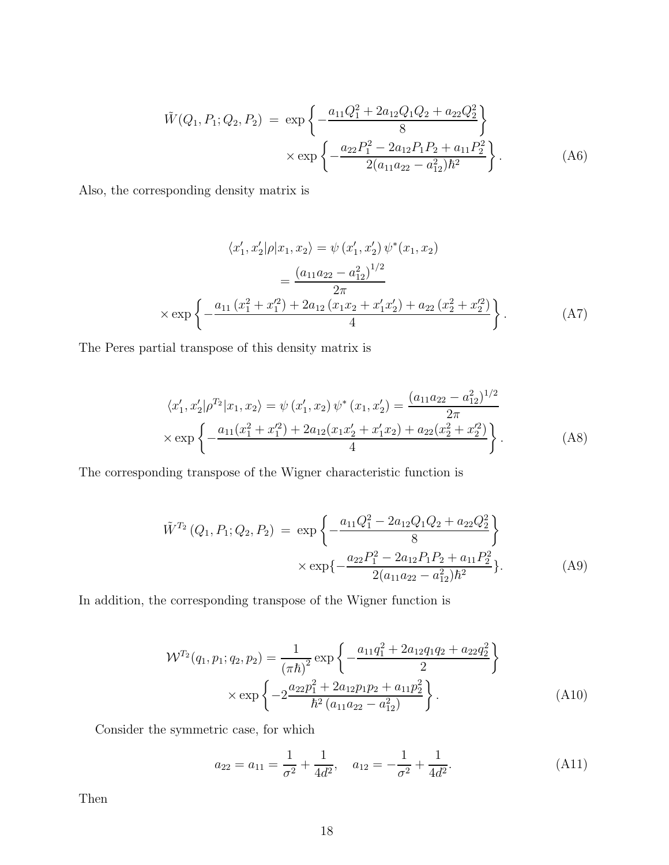$$
\tilde{W}(Q_1, P_1; Q_2, P_2) = \exp\left\{-\frac{a_{11}Q_1^2 + 2a_{12}Q_1Q_2 + a_{22}Q_2^2}{8}\right\}
$$
\n
$$
\times \exp\left\{-\frac{a_{22}P_1^2 - 2a_{12}P_1P_2 + a_{11}P_2^2}{2(a_{11}a_{22} - a_{12}^2)\hbar^2}\right\}.
$$
\n(A6)

Also, the corresponding density matrix is

$$
\langle x'_1, x'_2 | \rho | x_1, x_2 \rangle = \psi (x'_1, x'_2) \psi^*(x_1, x_2)
$$
  
= 
$$
\frac{(a_{11}a_{22} - a_{12}^2)^{1/2}}{2\pi}
$$
  

$$
\times \exp \left\{ -\frac{a_{11} (x_1^2 + x_1'^2) + 2a_{12} (x_1 x_2 + x_1' x_2') + a_{22} (x_2^2 + x_2'^2)}{4} \right\}.
$$
 (A7)

The Peres partial transpose of this density matrix is

$$
\langle x'_1, x'_2 | \rho^{T_2} | x_1, x_2 \rangle = \psi(x'_1, x_2) \psi^*(x_1, x'_2) = \frac{(a_{11}a_{22} - a_{12}^2)^{1/2}}{2\pi}
$$
  
 
$$
\times \exp\left\{-\frac{a_{11}(x_1^2 + x_1'^2) + 2a_{12}(x_1x_2' + x_1'x_2) + a_{22}(x_2^2 + x_2'^2)}{4}\right\}.
$$
 (A8)

The corresponding transpose of the Wigner characteristic function is

$$
\tilde{W}^{T_2}(Q_1, P_1; Q_2, P_2) = \exp\left\{-\frac{a_{11}Q_1^2 - 2a_{12}Q_1Q_2 + a_{22}Q_2^2}{8}\right\}
$$
\n
$$
\times \exp\left\{-\frac{a_{22}P_1^2 - 2a_{12}P_1P_2 + a_{11}P_2^2}{2(a_{11}a_{22} - a_{12}^2)\hbar^2}\right\}.
$$
\n(A9)

In addition, the corresponding transpose of the Wigner function is

$$
\mathcal{W}^{T_2}(q_1, p_1; q_2, p_2) = \frac{1}{(\pi \hbar)^2} \exp\left\{-\frac{a_{11}q_1^2 + 2a_{12}q_1q_2 + a_{22}q_2^2}{2}\right\}
$$

$$
\times \exp\left\{-2\frac{a_{22}p_1^2 + 2a_{12}p_1p_2 + a_{11}p_2^2}{\hbar^2(a_{11}a_{22} - a_{12}^2)}\right\}.
$$
(A10)

Consider the symmetric case, for which

$$
a_{22} = a_{11} = \frac{1}{\sigma^2} + \frac{1}{4d^2}, \quad a_{12} = -\frac{1}{\sigma^2} + \frac{1}{4d^2}.
$$
 (A11)

Then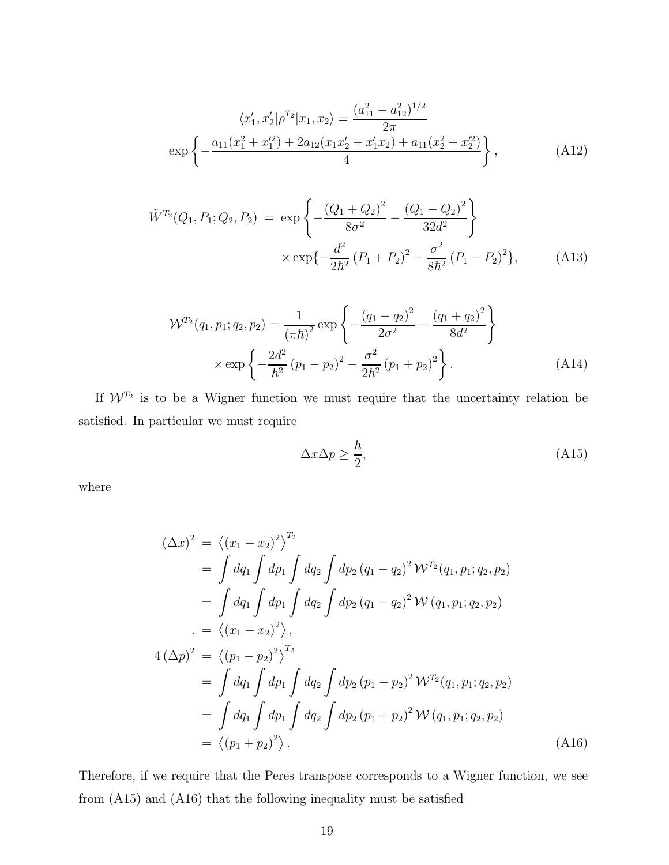$$
\langle x_1', x_2' | \rho^{T_2} | x_1, x_2 \rangle = \frac{(a_{11}^2 - a_{12}^2)^{1/2}}{2\pi}
$$
  
exp $\left\{-\frac{a_{11}(x_1^2 + x_1'^2) + 2a_{12}(x_1x_2' + x_1'x_2) + a_{11}(x_2^2 + x_2'^2)}{4}\right\},$  (A12)

$$
\tilde{W}^{T_2}(Q_1, P_1; Q_2, P_2) = \exp\left\{-\frac{(Q_1 + Q_2)^2}{8\sigma^2} - \frac{(Q_1 - Q_2)^2}{32d^2}\right\}
$$
\n
$$
\times \exp\left\{-\frac{d^2}{2\hbar^2} (P_1 + P_2)^2 - \frac{\sigma^2}{8\hbar^2} (P_1 - P_2)^2\right\},\tag{A13}
$$

$$
\mathcal{W}^{T_2}(q_1, p_1; q_2, p_2) = \frac{1}{(\pi \hbar)^2} \exp\left\{-\frac{(q_1 - q_2)^2}{2\sigma^2} - \frac{(q_1 + q_2)^2}{8d^2}\right\}
$$

$$
\times \exp\left\{-\frac{2d^2}{\hbar^2} (p_1 - p_2)^2 - \frac{\sigma^2}{2\hbar^2} (p_1 + p_2)^2\right\}.
$$
 (A14)

If  $W^{T_2}$  is to be a Wigner function we must require that the uncertainty relation be satisfied. In particular we must require

$$
\Delta x \Delta p \ge \frac{\hbar}{2},\tag{A15}
$$

where

$$
(\Delta x)^2 = \langle (x_1 - x_2)^2 \rangle^{T_2}
$$
  
=  $\int dq_1 \int dp_1 \int dq_2 \int dp_2 (q_1 - q_2)^2 W^{T_2}(q_1, p_1; q_2, p_2)$   
=  $\int dq_1 \int dp_1 \int dq_2 \int dp_2 (q_1 - q_2)^2 W(q_1, p_1; q_2, p_2)$   
=  $\langle (x_1 - x_2)^2 \rangle$ ,  

$$
4 (\Delta p)^2 = \langle (p_1 - p_2)^2 \rangle^{T_2}
$$
  
=  $\int dq_1 \int dp_1 \int dq_2 \int dp_2 (p_1 - p_2)^2 W^{T_2}(q_1, p_1; q_2, p_2)$   
=  $\int dq_1 \int dp_1 \int dq_2 \int dp_2 (p_1 + p_2)^2 W(q_1, p_1; q_2, p_2)$   
=  $\langle (p_1 + p_2)^2 \rangle$ . (A16)

Therefore, if we require that the Peres transpose corresponds to a Wigner function, we see from (A15) and (A16) that the following inequality must be satisfied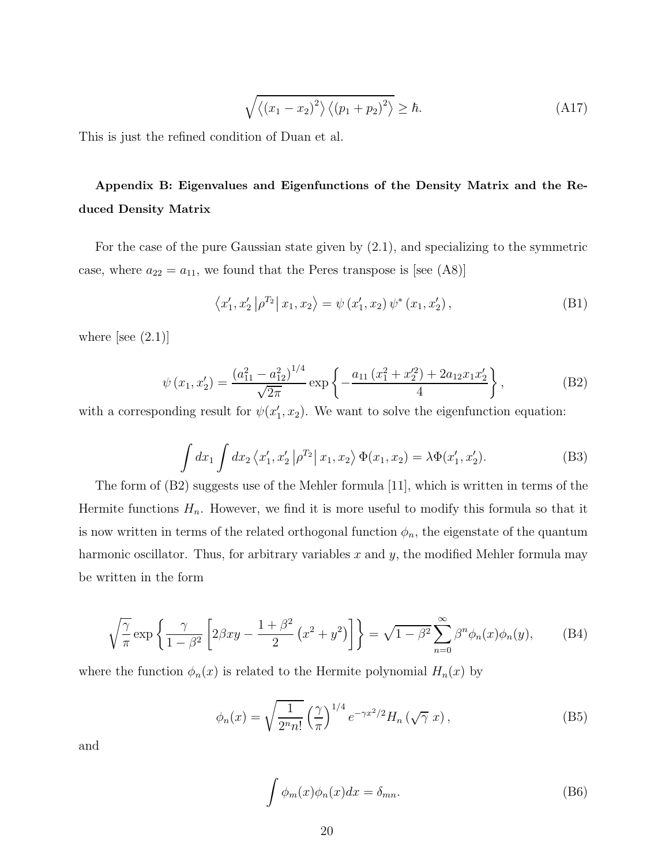$$
\sqrt{\langle (x_1 - x_2)^2 \rangle \langle (p_1 + p_2)^2 \rangle} \ge \hbar. \tag{A17}
$$

This is just the refined condition of Duan et al.

# Appendix B: Eigenvalues and Eigenfunctions of the Density Matrix and the Reduced Density Matrix

For the case of the pure Gaussian state given by (2.1), and specializing to the symmetric case, where  $a_{22} = a_{11}$ , we found that the Peres transpose is [see (A8)]

$$
\langle x_1', x_2' | \rho^{T_2} | x_1, x_2 \rangle = \psi(x_1', x_2) \psi^*(x_1, x_2'), \tag{B1}
$$

where [see  $(2.1)$ ]

$$
\psi(x_1, x_2') = \frac{\left(a_{11}^2 - a_{12}^2\right)^{1/4}}{\sqrt{2\pi}} \exp\left\{-\frac{a_{11}\left(x_1^2 + x_2'^2\right) + 2a_{12}x_1x_2'}{4}\right\},\tag{B2}
$$

with a corresponding result for  $\psi(x_1', x_2)$ . We want to solve the eigenfunction equation:

$$
\int dx_1 \int dx_2 \langle x'_1, x'_2 | \rho^{T_2} | x_1, x_2 \rangle \Phi(x_1, x_2) = \lambda \Phi(x'_1, x'_2). \tag{B3}
$$

The form of (B2) suggests use of the Mehler formula [11], which is written in terms of the Hermite functions  $H_n$ . However, we find it is more useful to modify this formula so that it is now written in terms of the related orthogonal function  $\phi_n$ , the eigenstate of the quantum harmonic oscillator. Thus, for arbitrary variables  $x$  and  $y$ , the modified Mehler formula may be written in the form

$$
\sqrt{\frac{\gamma}{\pi}} \exp\left\{\frac{\gamma}{1-\beta^2} \left[2\beta xy - \frac{1+\beta^2}{2} \left(x^2 + y^2\right)\right]\right\} = \sqrt{1-\beta^2} \sum_{n=0}^{\infty} \beta^n \phi_n(x) \phi_n(y),\tag{B4}
$$

where the function  $\phi_n(x)$  is related to the Hermite polynomial  $H_n(x)$  by

$$
\phi_n(x) = \sqrt{\frac{1}{2^n n!}} \left(\frac{\gamma}{\pi}\right)^{1/4} e^{-\gamma x^2/2} H_n\left(\sqrt{\gamma} x\right),\tag{B5}
$$

and

$$
\int \phi_m(x)\phi_n(x)dx = \delta_{mn}.\tag{B6}
$$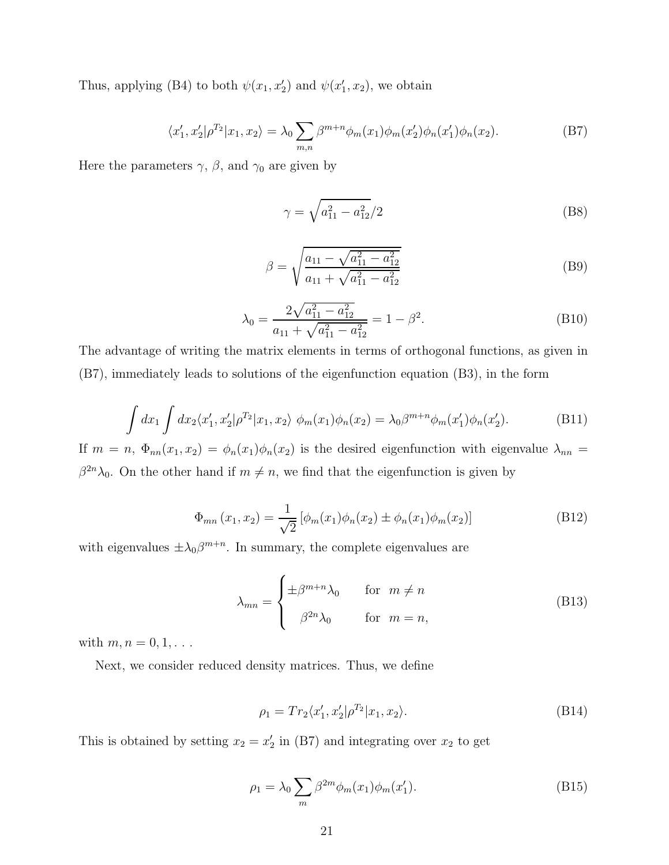Thus, applying (B4) to both  $\psi(x_1, x_2)$  and  $\psi(x_1', x_2)$ , we obtain

$$
\langle x_1', x_2' | \rho^{T_2} | x_1, x_2 \rangle = \lambda_0 \sum_{m,n} \beta^{m+n} \phi_m(x_1) \phi_m(x_2') \phi_n(x_1') \phi_n(x_2). \tag{B7}
$$

Here the parameters  $\gamma$ ,  $\beta$ , and  $\gamma_0$  are given by

$$
\gamma = \sqrt{a_{11}^2 - a_{12}^2/2} \tag{B8}
$$

$$
\beta = \sqrt{\frac{a_{11} - \sqrt{a_{11}^2 - a_{12}^2}}{a_{11} + \sqrt{a_{11}^2 - a_{12}^2}}}
$$
(B9)

$$
\lambda_0 = \frac{2\sqrt{a_{11}^2 - a_{12}^2}}{a_{11} + \sqrt{a_{11}^2 - a_{12}^2}} = 1 - \beta^2.
$$
 (B10)

The advantage of writing the matrix elements in terms of orthogonal functions, as given in (B7), immediately leads to solutions of the eigenfunction equation (B3), in the form

$$
\int dx_1 \int dx_2 \langle x_1', x_2' | \rho^{T_2} | x_1, x_2 \rangle \phi_m(x_1) \phi_n(x_2) = \lambda_0 \beta^{m+n} \phi_m(x_1') \phi_n(x_2'). \tag{B11}
$$

If  $m = n$ ,  $\Phi_{nn}(x_1, x_2) = \phi_n(x_1)\phi_n(x_2)$  is the desired eigenfunction with eigenvalue  $\lambda_{nn} =$  $\beta^{2n}\lambda_0$ . On the other hand if  $m \neq n$ , we find that the eigenfunction is given by

$$
\Phi_{mn}(x_1, x_2) = \frac{1}{\sqrt{2}} \left[ \phi_m(x_1) \phi_n(x_2) \pm \phi_n(x_1) \phi_m(x_2) \right]
$$
(B12)

with eigenvalues  $\pm \lambda_0 \beta^{m+n}$ . In summary, the complete eigenvalues are

$$
\lambda_{mn} = \begin{cases} \pm \beta^{m+n} \lambda_0 & \text{for } m \neq n \\ \beta^{2n} \lambda_0 & \text{for } m = n, \end{cases}
$$
 (B13)

with  $m, n = 0, 1, \ldots$ 

Next, we consider reduced density matrices. Thus, we define

$$
\rho_1 = Tr_2 \langle x_1', x_2' | \rho^{T_2} | x_1, x_2 \rangle.
$$
\n(B14)

This is obtained by setting  $x_2 = x_2'$  in (B7) and integrating over  $x_2$  to get

$$
\rho_1 = \lambda_0 \sum_m \beta^{2m} \phi_m(x_1) \phi_m(x_1'). \tag{B15}
$$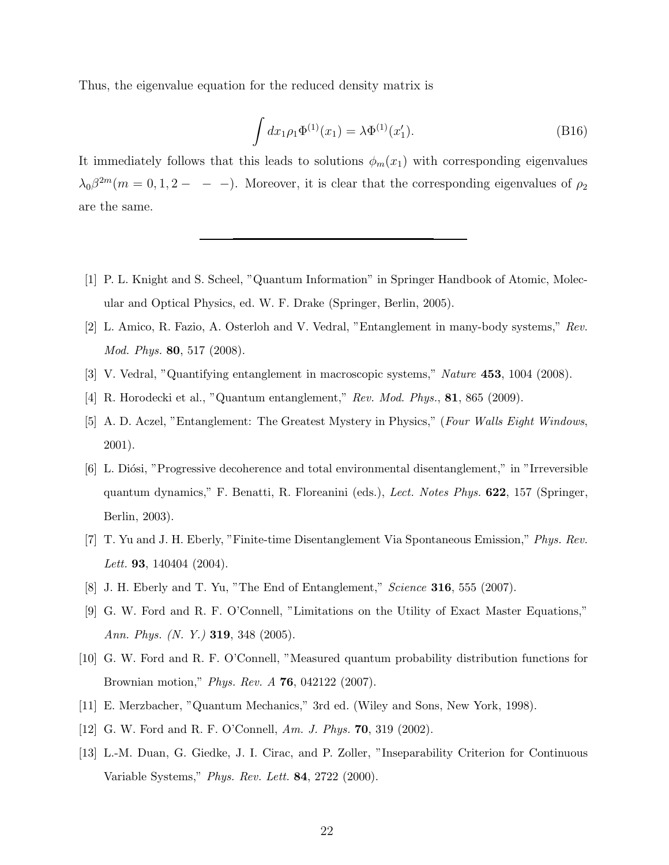Thus, the eigenvalue equation for the reduced density matrix is

$$
\int dx_1 \rho_1 \Phi^{(1)}(x_1) = \lambda \Phi^{(1)}(x_1').
$$
\n(B16)

It immediately follows that this leads to solutions  $\phi_m(x_1)$  with corresponding eigenvalues  $\lambda_0 \beta^{2m}$  (m = 0, 1, 2 - - -). Moreover, it is clear that the corresponding eigenvalues of  $\rho_2$ are the same.

- [1] P. L. Knight and S. Scheel, "Quantum Information" in Springer Handbook of Atomic, Molecular and Optical Physics, ed. W. F. Drake (Springer, Berlin, 2005).
- [2] L. Amico, R. Fazio, A. Osterloh and V. Vedral, "Entanglement in many-body systems," Rev. Mod. Phys. 80, 517 (2008).
- [3] V. Vedral, "Quantifying entanglement in macroscopic systems," Nature 453, 1004 (2008).
- [4] R. Horodecki et al., "Quantum entanglement," Rev. Mod. Phys., 81, 865 (2009).
- [5] A. D. Aczel, "Entanglement: The Greatest Mystery in Physics," (Four Walls Eight Windows, 2001).
- [6] L. Diósi, "Progressive decoherence and total environmental disentanglement," in "Irreversible" quantum dynamics," F. Benatti, R. Floreanini (eds.), Lect. Notes Phys. 622, 157 (Springer, Berlin, 2003).
- [7] T. Yu and J. H. Eberly, "Finite-time Disentanglement Via Spontaneous Emission," Phys. Rev. Lett. **93**, 140404 (2004).
- [8] J. H. Eberly and T. Yu, "The End of Entanglement," Science 316, 555 (2007).
- [9] G. W. Ford and R. F. O'Connell, "Limitations on the Utility of Exact Master Equations," Ann. Phys. (N. Y.) 319, 348 (2005).
- [10] G. W. Ford and R. F. O'Connell, "Measured quantum probability distribution functions for Brownian motion," Phys. Rev. A 76, 042122 (2007).
- [11] E. Merzbacher, "Quantum Mechanics," 3rd ed. (Wiley and Sons, New York, 1998).
- [12] G. W. Ford and R. F. O'Connell, Am. J. Phys. **70**, 319 (2002).
- [13] L.-M. Duan, G. Giedke, J. I. Cirac, and P. Zoller, "Inseparability Criterion for Continuous Variable Systems," Phys. Rev. Lett. 84, 2722 (2000).